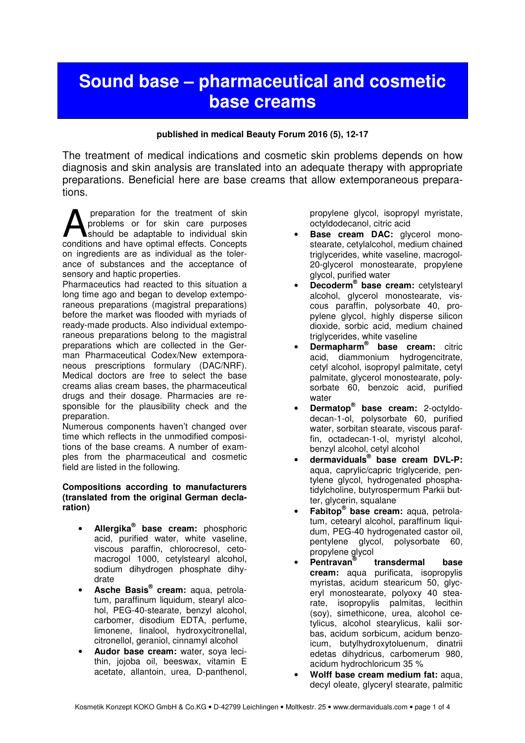# **Sound base – pharmaceutical and cosmetic base creams**

## **published in medical Beauty Forum 2016 (5), 12-17**

The treatment of medical indications and cosmetic skin problems depends on how diagnosis and skin analysis are translated into an adequate therapy with appropriate preparations. Beneficial here are base creams that allow extemporaneous preparations.

 preparation for the treatment of skin problems or for skin care purposes should be adaptable to individual skin preparation for the treatment of skin<br>problems or for skin care purposes<br>conditions and have optimal effects. Concepts on ingredients are as individual as the tolerance of substances and the acceptance of sensory and haptic properties.

Pharmaceutics had reacted to this situation a long time ago and began to develop extemporaneous preparations (magistral preparations) before the market was flooded with myriads of ready-made products. Also individual extemporaneous preparations belong to the magistral preparations which are collected in the German Pharmaceutical Codex/New extemporaneous prescriptions formulary (DAC/NRF). Medical doctors are free to select the base creams alias cream bases, the pharmaceutical drugs and their dosage. Pharmacies are responsible for the plausibility check and the preparation.

Numerous components haven't changed over time which reflects in the unmodified compositions of the base creams. A number of examples from the pharmaceutical and cosmetic field are listed in the following.

#### **Compositions according to manufacturers (translated from the original German declaration)**

- **Allergika® base cream:** phosphoric acid, purified water, white vaseline, viscous paraffin, chlorocresol, cetomacrogol 1000, cetylstearyl alcohol, sodium dihydrogen phosphate dihydrate
- **Asche Basis® cream:** aqua, petrolatum, paraffinum liquidum, stearyl alcohol, PEG-40-stearate, benzyl alcohol, carbomer, disodium EDTA, perfume, limonene, linalool, hydroxycitronellal, citronellol, geraniol, cinnamyl alcohol
- **Audor base cream:** water, soya lecithin, jojoba oil, beeswax, vitamin E acetate, allantoin, urea, D-panthenol,

propylene glycol, isopropyl myristate, octyldodecanol, citric acid

- Base cream DAC: glycerol monostearate, cetylalcohol, medium chained triglycerides, white vaseline, macrogol-20-glycerol monostearate, propylene glycol, purified water
- **Decoderm® base cream:** cetylstearyl alcohol, glycerol monostearate, viscous paraffin, polysorbate 40, propylene glycol, highly disperse silicon dioxide, sorbic acid, medium chained triglycerides, white vaseline
- **Dermapharm® base cream:** citric acid, diammonium hydrogencitrate, cetyl alcohol, isopropyl palmitate, cetyl palmitate, glycerol monostearate, polysorbate 60, benzoic acid, purified water
- **Dermatop® base cream:** 2-octyldodecan-1-ol, polysorbate 60, purified water, sorbitan stearate, viscous paraffin, octadecan-1-ol, myristyl alcohol, benzyl alcohol, cetyl alcohol
- **dermaviduals® base cream DVL-P:** aqua, caprylic/capric triglyceride, pentylene glycol, hydrogenated phosphatidylcholine, butyrospermum Parkii butter, glycerin, squalane
- **Fabitop® base cream:** aqua, petrolatum, cetearyl alcohol, paraffinum liquidum, PEG-40 hydrogenated castor oil, pentylene glycol, polysorbate 60, propylene glycol
- **Pentravan® transdermal base cream:** aqua purificata, isopropylis myristas, acidum stearicum 50, glyceryl monostearate, polyoxy 40 stearate, isopropylis palmitas, lecithin (soy), simethicone, urea, alcohol cetylicus, alcohol stearylicus, kalii sorbas, acidum sorbicum, acidum benzoicum, butylhydroxytoluenum, dinatrii edetas dihydricus, carbomerum 980, acidum hydrochloricum 35 %
- **Wolff base cream medium fat:** aqua, decyl oleate, glyceryl stearate, palmitic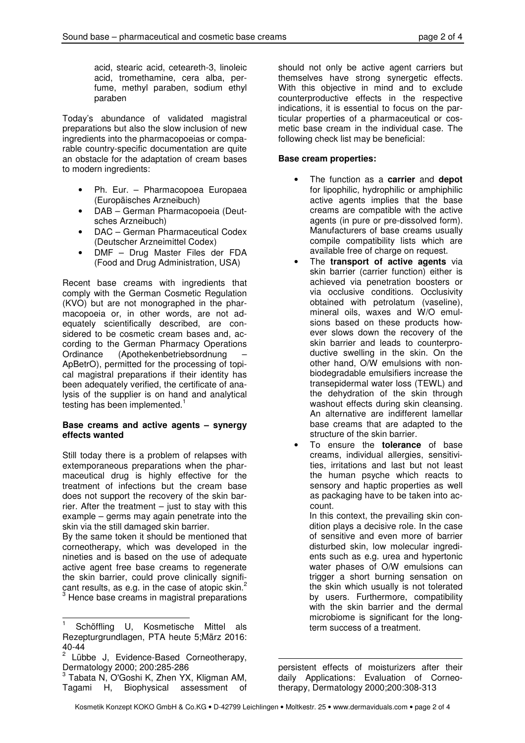acid, stearic acid, ceteareth-3, linoleic acid, tromethamine, cera alba, perfume, methyl paraben, sodium ethyl paraben

Today's abundance of validated magistral preparations but also the slow inclusion of new ingredients into the pharmacopoeias or comparable country-specific documentation are quite an obstacle for the adaptation of cream bases to modern ingredients:

- Ph. Eur. Pharmacopoea Europaea (Europäisches Arzneibuch)
- DAB German Pharmacopoeia (Deutsches Arzneibuch)
- DAC German Pharmaceutical Codex (Deutscher Arzneimittel Codex)
- DMF Drug Master Files der FDA (Food and Drug Administration, USA)

Recent base creams with ingredients that comply with the German Cosmetic Regulation (KVO) but are not monographed in the pharmacopoeia or, in other words, are not adequately scientifically described, are considered to be cosmetic cream bases and, according to the German Pharmacy Operations Ordinance (Apothekenbetriebsordnung – ApBetrO), permitted for the processing of topical magistral preparations if their identity has been adequately verified, the certificate of analysis of the supplier is on hand and analytical testing has been implemented.<sup>1</sup>

### **Base creams and active agents – synergy effects wanted**

Still today there is a problem of relapses with extemporaneous preparations when the pharmaceutical drug is highly effective for the treatment of infections but the cream base does not support the recovery of the skin barrier. After the treatment  $-$  just to stay with this example – germs may again penetrate into the skin via the still damaged skin barrier.

By the same token it should be mentioned that corneotherapy, which was developed in the nineties and is based on the use of adequate active agent free base creams to regenerate the skin barrier, could prove clinically significant results, as e.g. in the case of atopic skin.<sup>2</sup><br><sup>3</sup> Hence base creams in magistral preparations

should not only be active agent carriers but themselves have strong synergetic effects. With this objective in mind and to exclude counterproductive effects in the respective indications, it is essential to focus on the particular properties of a pharmaceutical or cosmetic base cream in the individual case. The following check list may be beneficial:

## **Base cream properties:**

- The function as a **carrier** and **depot** for lipophilic, hydrophilic or amphiphilic active agents implies that the base creams are compatible with the active agents (in pure or pre-dissolved form). Manufacturers of base creams usually compile compatibility lists which are available free of charge on request.
- The **transport of active agents** via skin barrier (carrier function) either is achieved via penetration boosters or via occlusive conditions. Occlusivity obtained with petrolatum (vaseline), mineral oils, waxes and W/O emulsions based on these products however slows down the recovery of the skin barrier and leads to counterproductive swelling in the skin. On the other hand, O/W emulsions with nonbiodegradable emulsifiers increase the transepidermal water loss (TEWL) and the dehydration of the skin through washout effects during skin cleansing. An alternative are indifferent lamellar base creams that are adapted to the structure of the skin barrier.
- To ensure the **tolerance** of base creams, individual allergies, sensitivities, irritations and last but not least the human psyche which reacts to sensory and haptic properties as well as packaging have to be taken into account.

In this context, the prevailing skin condition plays a decisive role. In the case of sensitive and even more of barrier disturbed skin, low molecular ingredients such as e.g. urea and hypertonic water phases of O/W emulsions can trigger a short burning sensation on the skin which usually is not tolerated by users. Furthermore, compatibility with the skin barrier and the dermal microbiome is significant for the longterm success of a treatment.

j 1 Schöffling U, Kosmetische Mittel als Rezepturgrundlagen, PTA heute 5;März 2016: 40-44

<sup>2</sup> Lübbe J, Evidence-Based Corneotherapy, Dermatology 2000; 200:285-286

<sup>&</sup>lt;sup>3</sup> Tabata N, O'Goshi K, Zhen YX, Kligman AM, Tagami H, Biophysical assessment of

persistent effects of moisturizers after their daily Applications: Evaluation of Corneotherapy, Dermatology 2000;200:308-313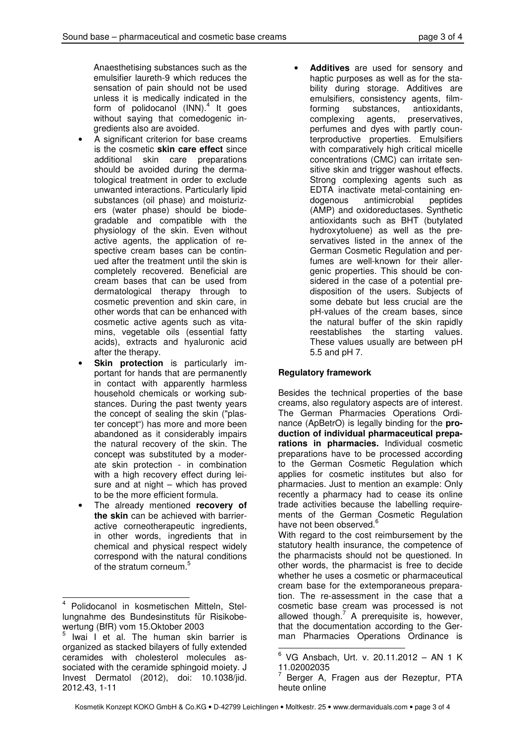Anaesthetising substances such as the emulsifier laureth-9 which reduces the sensation of pain should not be used unless it is medically indicated in the form of polidocanol (INN).<sup>4</sup> It goes without saying that comedogenic ingredients also are avoided.

- A significant criterion for base creams is the cosmetic **skin care effect** since additional skin care preparations should be avoided during the dermatological treatment in order to exclude unwanted interactions. Particularly lipid substances (oil phase) and moisturizers (water phase) should be biodegradable and compatible with the physiology of the skin. Even without active agents, the application of respective cream bases can be continued after the treatment until the skin is completely recovered. Beneficial are cream bases that can be used from dermatological therapy through to cosmetic prevention and skin care, in other words that can be enhanced with cosmetic active agents such as vitamins, vegetable oils (essential fatty acids), extracts and hyaluronic acid after the therapy.
- **Skin protection** is particularly important for hands that are permanently in contact with apparently harmless household chemicals or working substances. During the past twenty years the concept of sealing the skin ("plaster concept") has more and more been abandoned as it considerably impairs the natural recovery of the skin. The concept was substituted by a moderate skin protection - in combination with a high recovery effect during leisure and at night – which has proved to be the more efficient formula.
- The already mentioned **recovery of the skin** can be achieved with barrieractive corneotherapeutic ingredients, in other words, ingredients that in chemical and physical respect widely correspond with the natural conditions of the stratum corneum.<sup>5</sup>

 $\overline{a}$ 

• **Additives** are used for sensory and haptic purposes as well as for the stability during storage. Additives are emulsifiers, consistency agents, filmforming substances, antioxidants, complexing agents, preservatives, perfumes and dyes with partly counterproductive properties. Emulsifiers with comparatively high critical micelle concentrations (CMC) can irritate sensitive skin and trigger washout effects. Strong complexing agents such as EDTA inactivate metal-containing endogenous antimicrobial peptides (AMP) and oxidoreductases. Synthetic antioxidants such as BHT (butylated hydroxytoluene) as well as the preservatives listed in the annex of the German Cosmetic Regulation and perfumes are well-known for their allergenic properties. This should be considered in the case of a potential predisposition of the users. Subjects of some debate but less crucial are the pH-values of the cream bases, since the natural buffer of the skin rapidly reestablishes the starting values. These values usually are between pH 5.5 and pH 7.

# **Regulatory framework**

Besides the technical properties of the base creams, also regulatory aspects are of interest. The German Pharmacies Operations Ordinance (ApBetrO) is legally binding for the **production of individual pharmaceutical preparations in pharmacies.** Individual cosmetic preparations have to be processed according to the German Cosmetic Regulation which applies for cosmetic institutes but also for pharmacies. Just to mention an example: Only recently a pharmacy had to cease its online trade activities because the labelling requirements of the German Cosmetic Regulation have not been observed. $^6$ 

With regard to the cost reimbursement by the statutory health insurance, the competence of the pharmacists should not be questioned. In other words, the pharmacist is free to decide whether he uses a cosmetic or pharmaceutical cream base for the extemporaneous preparation. The re-assessment in the case that a cosmetic base cream was processed is not allowed though. $7$  A prerequisite is, however, that the documentation according to the German Pharmacies Operations Ordinance is

<sup>4</sup> Polidocanol in kosmetischen Mitteln, Stellungnahme des Bundesinstituts für Risikobewertung (BfR) vom 15.Oktober 2003

<sup>&</sup>lt;sup>5</sup> Iwai I et al. The human skin barrier is organized as stacked bilayers of fully extended ceramides with cholesterol molecules associated with the ceramide sphingoid moiety. J Invest Dermatol (2012), doi: 10.1038/jid. 2012.43, 1-11

 6 VG Ansbach, Urt. v. 20.11.2012 – AN 1 K 11.02002035

<sup>7</sup> Berger A, Fragen aus der Rezeptur, PTA heute online